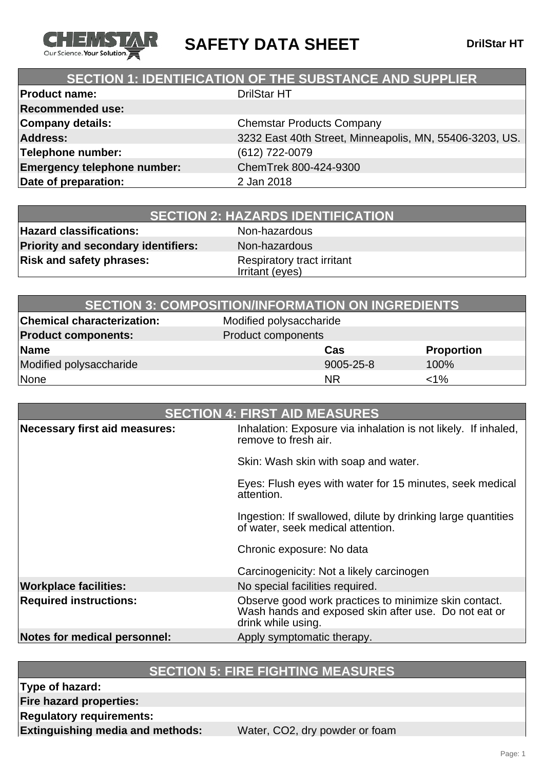

**SAFETY DATA SHEET** DrilStar HT

## **SECTION 1: IDENTIFICATION OF THE SUBSTANCE AND SUPPLIER**

| <b>Product name:</b>               | <b>DrilStar HT</b>                                      |
|------------------------------------|---------------------------------------------------------|
| <b>Recommended use:</b>            |                                                         |
| <b>Company details:</b>            | <b>Chemstar Products Company</b>                        |
| <b>Address:</b>                    | 3232 East 40th Street, Minneapolis, MN, 55406-3203, US. |
| Telephone number:                  | (612) 722-0079                                          |
| <b>Emergency telephone number:</b> | ChemTrek 800-424-9300                                   |
| Date of preparation:               | 2 Jan 2018                                              |
|                                    |                                                         |

| <b>SECTION 2: HAZARDS IDENTIFICATION</b> |
|------------------------------------------|
|------------------------------------------|

**Hazard classifications:** Non-hazardous **Priority and secondary identifiers:** Non-hazardous **Risk and safety phrases:** Respiratory tract irritant

Irritant (eyes)

|                                   | <b>SECTION 3: COMPOSITION/INFORMATION ON INGREDIENTS</b> |                   |
|-----------------------------------|----------------------------------------------------------|-------------------|
| <b>Chemical characterization:</b> | Modified polysaccharide                                  |                   |
| <b>Product components:</b>        | Product components                                       |                   |
| Name                              | Cas                                                      | <b>Proportion</b> |
| Modified polysaccharide           | 9005-25-8                                                | 100%              |
| None                              | <b>NR</b>                                                | $<1\%$            |

|                                      | <b>SECTION 4: FIRST AID MEASURES</b>                                                                                                |
|--------------------------------------|-------------------------------------------------------------------------------------------------------------------------------------|
| <b>Necessary first aid measures:</b> | Inhalation: Exposure via inhalation is not likely. If inhaled,<br>remove to fresh air.                                              |
|                                      | Skin: Wash skin with soap and water.                                                                                                |
|                                      | Eyes: Flush eyes with water for 15 minutes, seek medical<br>attention.                                                              |
|                                      | Ingestion: If swallowed, dilute by drinking large quantities<br>of water, seek medical attention.                                   |
|                                      | Chronic exposure: No data                                                                                                           |
|                                      | Carcinogenicity: Not a likely carcinogen                                                                                            |
| <b>Workplace facilities:</b>         | No special facilities required.                                                                                                     |
| <b>Required instructions:</b>        | Observe good work practices to minimize skin contact.<br>Wash hands and exposed skin after use. Do not eat or<br>drink while using. |
| Notes for medical personnel:         | Apply symptomatic therapy.                                                                                                          |

### **SECTION 5: FIRE FIGHTING MEASURES**

**Type of hazard:**

**Fire hazard properties:**

**Regulatory requirements:**

**Extinguishing media and methods:** Water, CO2, dry powder or foam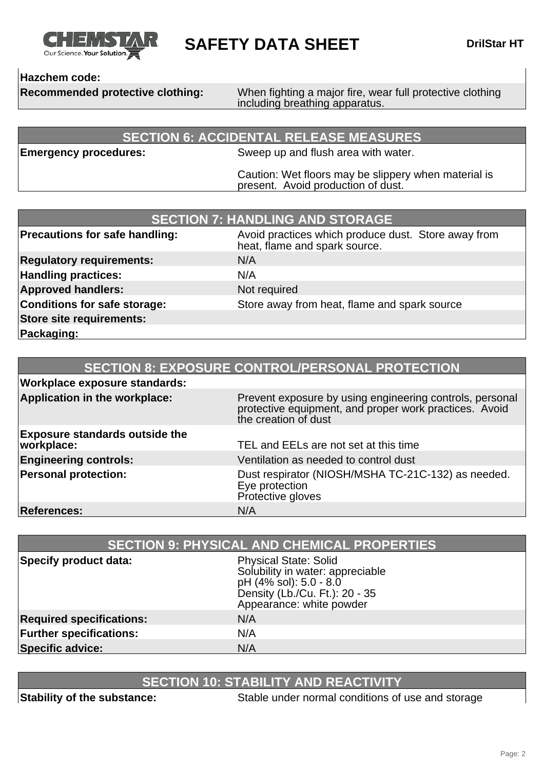

**SAFETY DATA SHEET** DrilStar HT

### **Hazchem code:**

**Recommended protective clothing:** When fighting a major fire, wear full protective clothing including breathing apparatus.

#### **SECTION 6: ACCIDENTAL RELEASE MEASURES**

**Emergency procedures:** Sweep up and flush area with water.

Caution: Wet floors may be slippery when material is present. Avoid production of dust.

| <b>SECTION 7: HANDLING AND STORAGE</b> |                                                                                      |
|----------------------------------------|--------------------------------------------------------------------------------------|
| <b>Precautions for safe handling:</b>  | Avoid practices which produce dust. Store away from<br>heat, flame and spark source. |
| <b>Regulatory requirements:</b>        | N/A                                                                                  |
| <b>Handling practices:</b>             | N/A                                                                                  |
| <b>Approved handlers:</b>              | Not required                                                                         |
| <b>Conditions for safe storage:</b>    | Store away from heat, flame and spark source                                         |
| <b>Store site requirements:</b>        |                                                                                      |
| Packaging:                             |                                                                                      |

|                                                     | <b>SECTION 8: EXPOSURE CONTROL/PERSONAL PROTECTION</b>                                                                                     |
|-----------------------------------------------------|--------------------------------------------------------------------------------------------------------------------------------------------|
| <b>Workplace exposure standards:</b>                |                                                                                                                                            |
| Application in the workplace:                       | Prevent exposure by using engineering controls, personal<br>protective equipment, and proper work practices. Avoid<br>the creation of dust |
| <b>Exposure standards outside the</b><br>workplace: | TEL and EELs are not set at this time                                                                                                      |
| <b>Engineering controls:</b>                        | Ventilation as needed to control dust                                                                                                      |
| <b>Personal protection:</b>                         | Dust respirator (NIOSH/MSHA TC-21C-132) as needed.<br>Eye protection<br>Protective gloves                                                  |
| <b>References:</b>                                  | N/A                                                                                                                                        |

| <b>SECTION 9: PHYSICAL AND CHEMICAL PROPERTIES</b> |                                                                                                                                                          |
|----------------------------------------------------|----------------------------------------------------------------------------------------------------------------------------------------------------------|
| Specify product data:                              | <b>Physical State: Solid</b><br>Solubility in water: appreciable<br>pH (4% sol): 5.0 - 8.0<br>Density (Lb./Cu. Ft.): 20 - 35<br>Appearance: white powder |
| <b>Required specifications:</b>                    | N/A                                                                                                                                                      |
| <b>Further specifications:</b>                     | N/A                                                                                                                                                      |
| <b>Specific advice:</b>                            | N/A                                                                                                                                                      |

# **SECTION 10: STABILITY AND REACTIVITY**

**Stability of the substance:** Stable under normal conditions of use and storage